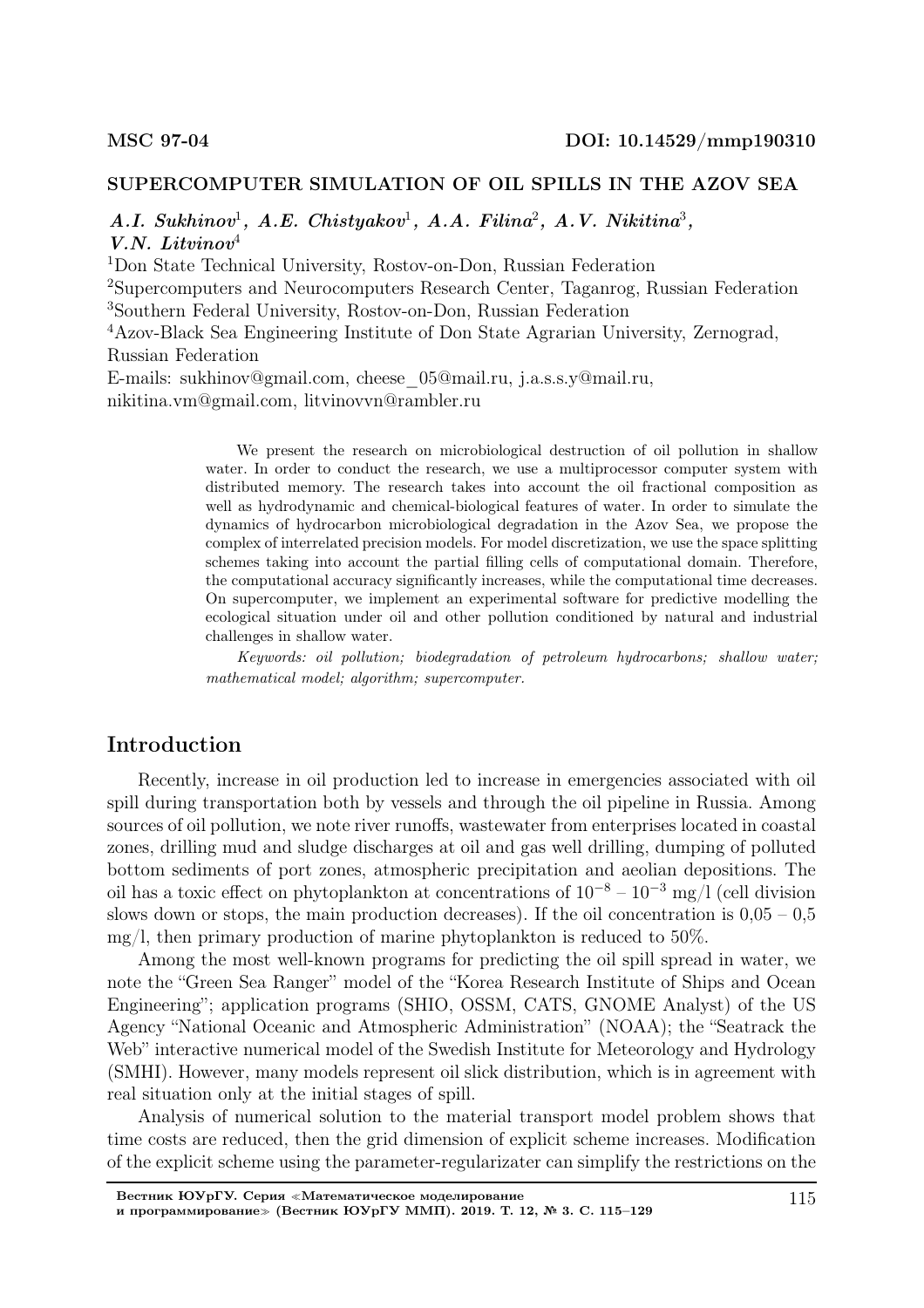## SUPERCOMPUTER SIMULATION OF OIL SPILLS IN THE AZOV SEA

 $A.I. Sukhinov<sup>1</sup>, A.E. Chistyakov<sup>1</sup>, A.A. Filina<sup>2</sup>, A.V. Nikitina<sup>3</sup>,$ V.N. Litvinov<sup>4</sup>

<sup>1</sup>Don State Technical University, Rostov-on-Don, Russian Federation

<sup>2</sup>Supercomputers and Neurocomputers Research Center, Taganrog, Russian Federation <sup>3</sup>Southern Federal University, Rostov-on-Don, Russian Federation

<sup>4</sup>Azov-Black Sea Engineering Institute of Don State Agrarian University, Zernograd, Russian Federation

E-mails: sukhinov@gmail.com, cheese\_05@mail.ru, j.a.s.s.y@mail.ru, nikitina.vm@gmail.com, litvinovvn@rambler.ru

> We present the research on microbiological destruction of oil pollution in shallow water. In order to conduct the research, we use a multiprocessor computer system with distributed memory. The research takes into account the oil fractional composition as well as hydrodynamic and chemical-biological features of water. In order to simulate the dynamics of hydrocarbon microbiological degradation in the Azov Sea, we propose the complex of interrelated precision models. For model discretization, we use the space splitting schemes taking into account the partial filling cells of computational domain. Therefore, the computational accuracy significantly increases, while the computational time decreases. On supercomputer, we implement an experimental software for predictive modelling the ecological situation under oil and other pollution conditioned by natural and industrial challenges in shallow water.

> Keywords: oil pollution; biodegradation of petroleum hydrocarbons; shallow water; mathematical model; algorithm; supercomputer.

# Introduction

Recently, increase in oil production led to increase in emergencies associated with oil spill during transportation both by vessels and through the oil pipeline in Russia. Among sources of oil pollution, we note river runoffs, wastewater from enterprises located in coastal zones, drilling mud and sludge discharges at oil and gas well drilling, dumping of polluted bottom sediments of port zones, atmospheric precipitation and aeolian depositions. The oil has a toxic effect on phytoplankton at concentrations of  $10^{-8} - 10^{-3}$  mg/l (cell division slows down or stops, the main production decreases). If the oil concentration is  $0.05 - 0.5$ mg/l, then primary production of marine phytoplankton is reduced to  $50\%$ .

Among the most well-known programs for predicting the oil spill spread in water, we note the "Green Sea Ranger" model of the "Korea Research Institute of Ships and Ocean Engineering"; application programs (SHIO, OSSM, CATS, GNOME Analyst) of the US Agency "National Oceanic and Atmospheric Administration" (NOAA); the "Seatrack the Web" interactive numerical model of the Swedish Institute for Meteorology and Hydrology (SMHI). However, many models represent oil slick distribution, which is in agreement with real situation only at the initial stages of spill.

Analysis of numerical solution to the material transport model problem shows that time costs are reduced, then the grid dimension of explicit scheme increases. Modification of the explicit scheme using the parameter-regularizater can simplify the restrictions on the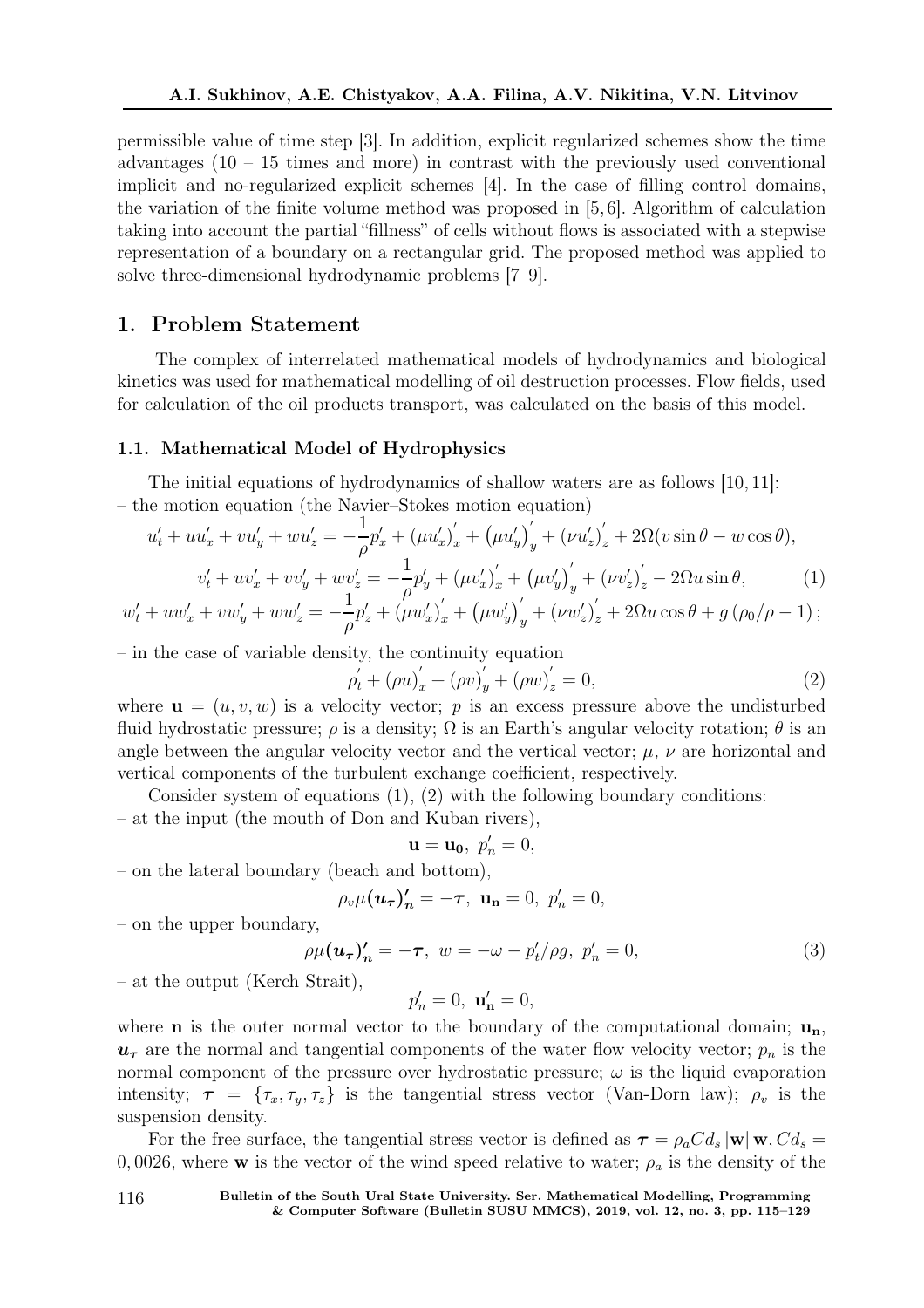permissible value of time step [3]. In addition, explicit regularized schemes show the time advantages  $(10 - 15$  times and more) in contrast with the previously used conventional implicit and no-regularized explicit schemes [4]. In the case of filling control domains, the variation of the finite volume method was proposed in [5, 6]. Algorithm of calculation taking into account the partial "fillness" of cells without flows is associated with a stepwise representation of a boundary on a rectangular grid. The proposed method was applied to solve three-dimensional hydrodynamic problems [7–9].

## 1. Problem Statement

The complex of interrelated mathematical models of hydrodynamics and biological kinetics was used for mathematical modelling of oil destruction processes. Flow fields, used for calculation of the oil products transport, was calculated on the basis of this model.

### 1.1. Mathematical Model of Hydrophysics

The initial equations of hydrodynamics of shallow waters are as follows [10, 11]: – the motion equation (the Navier–Stokes motion equation)

$$
u'_{t} + uu'_{x} + vu'_{y} + wu'_{z} = -\frac{1}{\rho}p'_{x} + (\mu u'_{x})'_{x} + (\mu u'_{y})'_{y} + (\nu u'_{z})'_{z} + 2\Omega(v\sin\theta - w\cos\theta),
$$
  

$$
v'_{t} + uv'_{x} + vv'_{y} + wv'_{z} = -\frac{1}{\rho}p'_{y} + (\mu v'_{x})'_{x} + (\mu v'_{y})'_{y} + (\nu v'_{z})'_{z} - 2\Omega u\sin\theta,
$$
 (1)

$$
w'_{t} + uw'_{x} + vw'_{y} + ww'_{z} = -\frac{1}{\rho}p'_{z} + (\mu w'_{x})'_{x} + (\mu w'_{y})'_{y} + (\nu w'_{z})'_{z} + 2\Omega u \cos \theta + g (\rho_{0}/\rho - 1);
$$

– in the case of variable density, the continuity equation

$$
\rho'_{t} + (\rho u)'_{x} + (\rho v)'_{y} + (\rho w)'_{z} = 0,
$$
\n(2)

where  $\mathbf{u} = (u, v, w)$  is a velocity vector; p is an excess pressure above the undisturbed fluid hydrostatic pressure;  $\rho$  is a density;  $\Omega$  is an Earth's angular velocity rotation;  $\theta$  is an angle between the angular velocity vector and the vertical vector;  $\mu$ ,  $\nu$  are horizontal and vertical components of the turbulent exchange coefficient, respectively.

Consider system of equations  $(1), (2)$  with the following boundary conditions: – at the input (the mouth of Don and Kuban rivers),

$$
\mathbf{u}=\mathbf{u_0},\ p'_n=0,
$$

– on the lateral boundary (beach and bottom),

$$
\rho_v \mu(\mathbf{u}_{\tau})'_n = -\tau, \ \mathbf{u}_n = 0, \ p'_n = 0,
$$

– on the upper boundary,

$$
\rho \mu(\boldsymbol{u}_{\boldsymbol{\tau}})'_{\boldsymbol{n}} = -\boldsymbol{\tau}, \ w = -\omega - p_t'/\rho g, \ p_n' = 0,
$$
\n(3)

– at the output (Kerch Strait),

$$
p'_n=0, \mathbf{u'_n}=0,
$$

where **n** is the outer normal vector to the boundary of the computational domain;  $\mathbf{u}_n$ ,  $u_{\tau}$  are the normal and tangential components of the water flow velocity vector;  $p_n$  is the normal component of the pressure over hydrostatic pressure;  $\omega$  is the liquid evaporation intensity;  $\tau = {\tau_x, \tau_y, \tau_z}$  is the tangential stress vector (Van-Dorn law);  $\rho_v$  is the suspension density.

For the free surface, the tangential stress vector is defined as  $\tau = \rho_a C d_s |\mathbf{w}| \mathbf{w}, C d_s =$ 0, 0026, where **w** is the vector of the wind speed relative to water;  $\rho_a$  is the density of the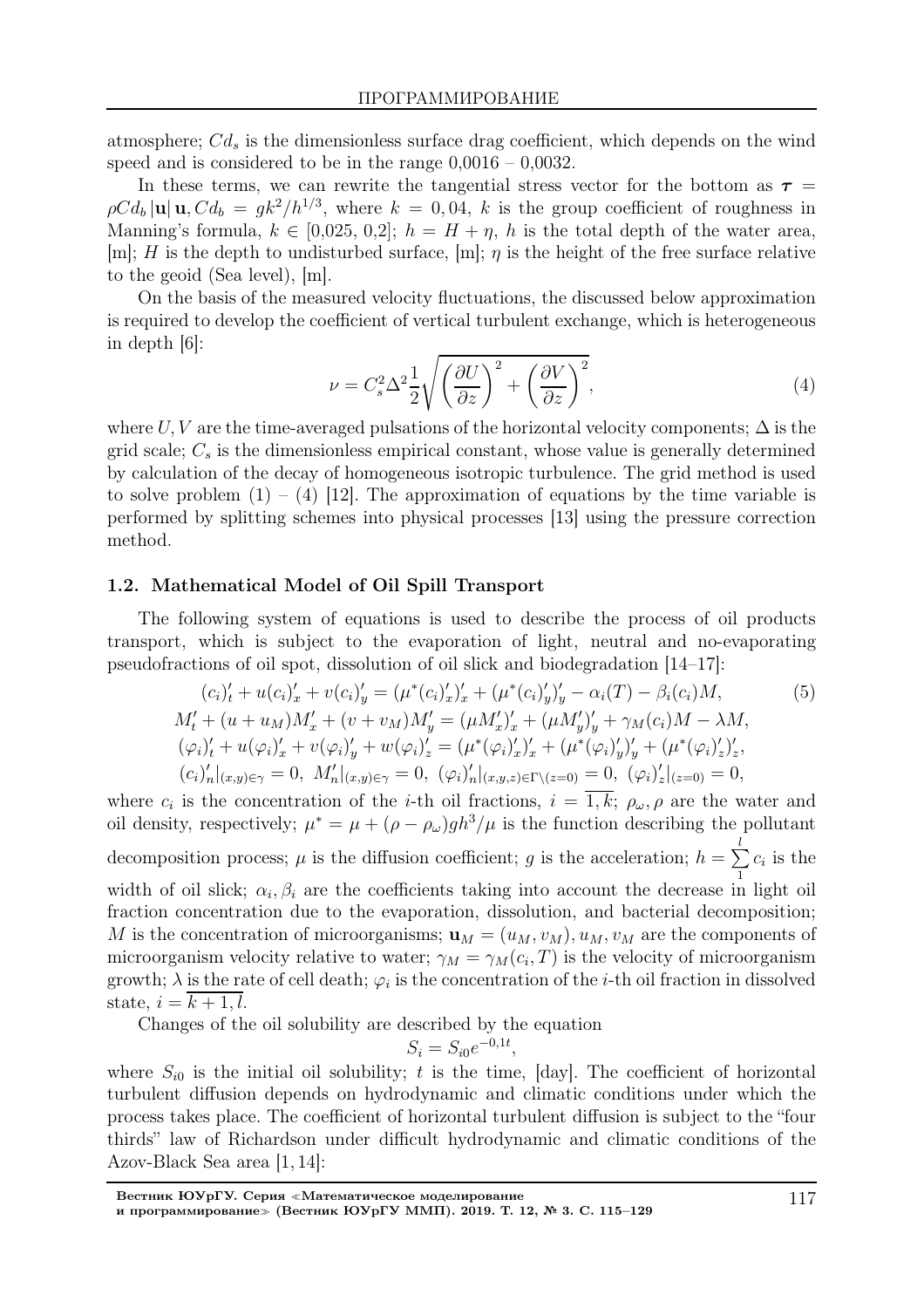atmosphere;  $Cd_s$  is the dimensionless surface drag coefficient, which depends on the wind speed and is considered to be in the range 0,0016 – 0,0032.

In these terms, we can rewrite the tangential stress vector for the bottom as  $\tau =$  $\rho C d_b |\mathbf{u}| \mathbf{u}, C d_b = g k^2 / h^{1/3}$ , where  $k = 0, 04$ , k is the group coefficient of roughness in Manning's formula,  $k \in [0.025, 0.2]$ ;  $h = H + \eta$ , h is the total depth of the water area, [m]; H is the depth to undisturbed surface, [m];  $\eta$  is the height of the free surface relative to the geoid (Sea level), [m].

On the basis of the measured velocity fluctuations, the discussed below approximation is required to develop the coefficient of vertical turbulent exchange, which is heterogeneous in depth [6]:

$$
\nu = C_s^2 \Delta^2 \frac{1}{2} \sqrt{\left(\frac{\partial U}{\partial z}\right)^2 + \left(\frac{\partial V}{\partial z}\right)^2},\tag{4}
$$

where U, V are the time-averaged pulsations of the horizontal velocity components;  $\Delta$  is the grid scale;  $C_s$  is the dimensionless empirical constant, whose value is generally determined by calculation of the decay of homogeneous isotropic turbulence. The grid method is used to solve problem  $(1) - (4)$  [12]. The approximation of equations by the time variable is performed by splitting schemes into physical processes [13] using the pressure correction method.

## 1.2. Mathematical Model of Oil Spill Transport

The following system of equations is used to describe the process of oil products transport, which is subject to the evaporation of light, neutral and no-evaporating pseudofractions of oil spot, dissolution of oil slick and biodegradation [14–17]:

$$
(c_i)'_t + u(c_i)'_x + v(c_i)'_y = (\mu^*(c_i)'_x)'_x + (\mu^*(c_i)'_y)'_y - \alpha_i(T) - \beta_i(c_i)M,
$$
  
\n
$$
M'_t + (u + u_M)M'_x + (v + v_M)M'_y = (\mu M'_x)'_x + (\mu M'_y)'_y + \gamma_M(c_i)M - \lambda M,
$$
  
\n
$$
(\varphi_i)'_t + u(\varphi_i)'_x + v(\varphi_i)'_y + w(\varphi_i)'_z = (\mu^*(\varphi_i)'_x)'_x + (\mu^*(\varphi_i)'_y)'_y + (\mu^*(\varphi_i)'_z)'_z,
$$
  
\n
$$
(c_i)'_n|_{(x,y)\in\gamma} = 0, M'_n|_{(x,y)\in\gamma} = 0, (\varphi_i)'_n|_{(x,y,z)\in\Gamma\setminus(z=0)} = 0, (\varphi_i)'_z|_{(z=0)} = 0,
$$

where  $c_i$  is the concentration of the *i*-th oil fractions,  $i = 1, k; \rho_\omega, \rho$  are the water and oil density, respectively;  $\mu^* = \mu + (\rho - \rho_\omega)gh^3/\mu$  is the function describing the pollutant decomposition process;  $\mu$  is the diffusion coefficient; g is the acceleration;  $h = \sum$ l 1  $c_i$  is the width of oil slick;  $\alpha_i, \beta_i$  are the coefficients taking into account the decrease in light oil fraction concentration due to the evaporation, dissolution, and bacterial decomposition; M is the concentration of microorganisms;  $\mathbf{u}_M = (u_M, v_M)$ ,  $u_M, v_M$  are the components of microorganism velocity relative to water;  $\gamma_M = \gamma_M(c_i, T)$  is the velocity of microorganism growth;  $\lambda$  is the rate of cell death;  $\varphi_i$  is the concentration of the *i*-th oil fraction in dissolved state,  $i = k + 1, l$ .

Changes of the oil solubility are described by the equation

$$
S_i = S_{i0}e^{-0.1t}
$$

,

where  $S_{i0}$  is the initial oil solubility; t is the time, [day]. The coefficient of horizontal turbulent diffusion depends on hydrodynamic and climatic conditions under which the process takes place. The coefficient of horizontal turbulent diffusion is subject to the "four thirds" law of Richardson under difficult hydrodynamic and climatic conditions of the Azov-Black Sea area [1, 14]: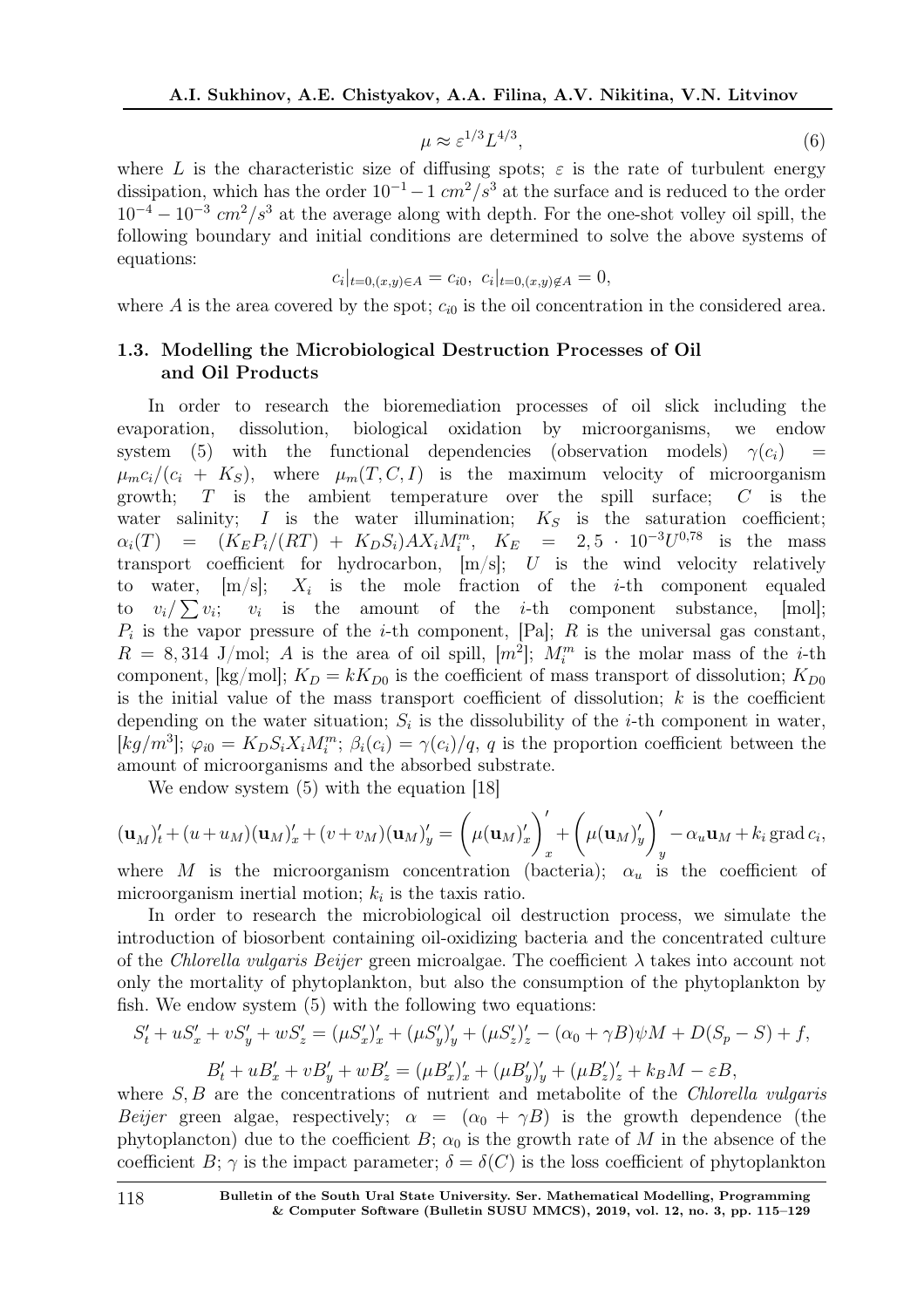$$
\mu \approx \varepsilon^{1/3} L^{4/3},\tag{6}
$$

where L is the characteristic size of diffusing spots;  $\varepsilon$  is the rate of turbulent energy dissipation, which has the order  $10^{-1} - 1$  cm<sup>2</sup>/s<sup>3</sup> at the surface and is reduced to the order  $10^{-4} - 10^{-3}$  cm<sup>2</sup>/s<sup>3</sup> at the average along with depth. For the one-shot volley oil spill, the following boundary and initial conditions are determined to solve the above systems of equations:

$$
c_i|_{t=0,(x,y)\in A} = c_{i0}, c_i|_{t=0,(x,y)\notin A} = 0,
$$

where A is the area covered by the spot;  $c_{i0}$  is the oil concentration in the considered area.

## 1.3. Modelling the Microbiological Destruction Processes of Oil and Oil Products

In order to research the bioremediation processes of oil slick including the evaporation, dissolution, biological oxidation by microorganisms, we endow system (5) with the functional dependencies (observation models)  $\gamma(c_i)$  $\mu_m c_i/(c_i + K_S)$ , where  $\mu_m(T, C, I)$  is the maximum velocity of microorganism growth;  $T$  is the ambient temperature over the spill surface;  $C$  is the water salinity; I is the water illumination;  $K_S$  is the saturation coefficient;  $\alpha_i(T) = (K_E P_i/(RT) + K_D S_i) A X_i M_i^m$ ,  $K_E = 2, 5 \cdot 10^{-3} U^{0.78}$  is the mass transport coefficient for hydrocarbon,  $[m/s]$ ; U is the wind velocity relatively to water,  $[m/s]$ ;  $X_i$  is the mole fraction of the *i*-th component equaled to  $v_i/\sum v_i$ ;  $v_i$  is the amount of the *i*-th component substance, [mol];  $P_i$  is the vapor pressure of the *i*-th component, [Pa]; R is the universal gas constant,  $R = 8,314$  J/mol; A is the area of oil spill,  $[m^2]$ ;  $M_i^m$  is the molar mass of the *i*-th component, [kg/mol];  $K_D = kK_{D0}$  is the coefficient of mass transport of dissolution;  $K_{D0}$ is the initial value of the mass transport coefficient of dissolution;  $k$  is the coefficient depending on the water situation;  $S_i$  is the dissolubility of the *i*-th component in water,  $[kg/m^3]; \varphi_{i0} = K_D S_i X_i M_i^m; \beta_i(c_i) = \gamma(c_i)/q, q$  is the proportion coefficient between the amount of microorganisms and the absorbed substrate.

We endow system  $(5)$  with the equation [18]

$$
(\mathbf{u}_M)_t' + (u + u_M)(\mathbf{u}_M)_x' + (v + v_M)(\mathbf{u}_M)_y' = \left(\mu(\mathbf{u}_M)_x'\right)_x' + \left(\mu(\mathbf{u}_M)_y'\right)_y' - \alpha_u \mathbf{u}_M + k_i \operatorname{grad} c_i,
$$
  
where  $M$  is the microexperiment conservation (bottom).

where M is the microorganism concentration (bacteria);  $\alpha_u$  is the coefficient of microorganism inertial motion;  $k_i$  is the taxis ratio.

In order to research the microbiological oil destruction process, we simulate the introduction of biosorbent containing oil-oxidizing bacteria and the concentrated culture of the Chlorella vulgaris Beijer green microalgae. The coefficient  $\lambda$  takes into account not only the mortality of phytoplankton, but also the consumption of the phytoplankton by fish. We endow system (5) with the following two equations:

$$
S'_t + uS'_x + vS'_y + wS'_z = (\mu S'_x)'_x + (\mu S'_y)'_y + (\mu S'_z)'_z - (\alpha_0 + \gamma B)\psi M + D(S_p - S) + f,
$$
  

$$
B'_t + uB'_x + vB'_y + wB'_z = (\mu B'_x)'_x + (\mu B'_y)'_y + (\mu B'_z)'_z + k_B M - \varepsilon B,
$$

where  $S, B$  are the concentrations of nutrient and metabolite of the *Chlorella vulgaris* Beijer green algae, respectively;  $\alpha = (\alpha_0 + \gamma B)$  is the growth dependence (the phytoplancton) due to the coefficient B;  $\alpha_0$  is the growth rate of M in the absence of the coefficient B;  $\gamma$  is the impact parameter;  $\delta = \delta(C)$  is the loss coefficient of phytoplankton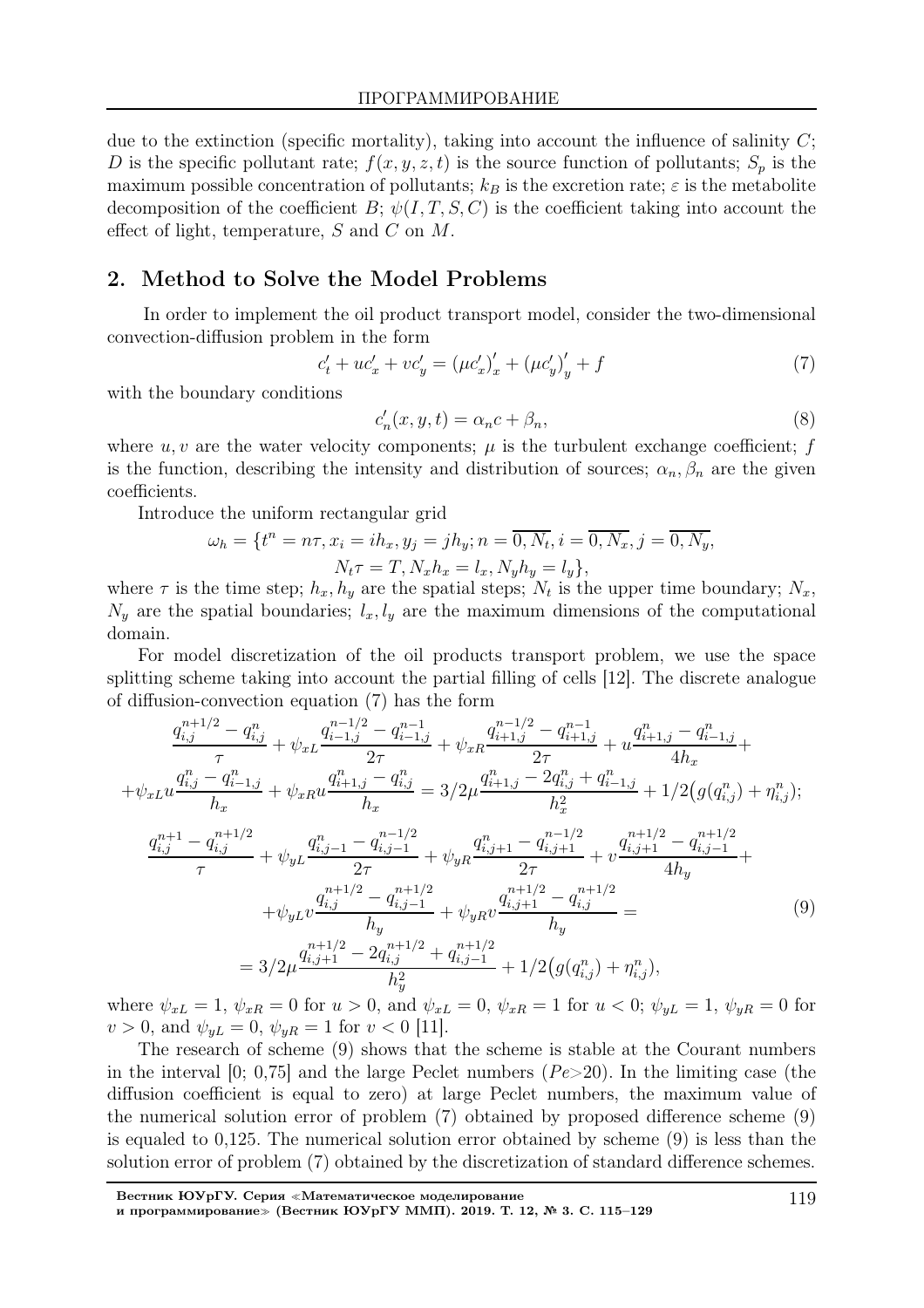due to the extinction (specific mortality), taking into account the influence of salinity  $C$ ; D is the specific pollutant rate;  $f(x, y, z, t)$  is the source function of pollutants;  $S_p$  is the maximum possible concentration of pollutants;  $k_B$  is the excretion rate;  $\varepsilon$  is the metabolite decomposition of the coefficient B;  $\psi(I, T, S, C)$  is the coefficient taking into account the effect of light, temperature, S and C on M.

## 2. Method to Solve the Model Problems

In order to implement the oil product transport model, consider the two-dimensional convection-diffusion problem in the form

$$
c'_{t} + uc'_{x} + vc'_{y} = (\mu c'_{x})'_{x} + (\mu c'_{y})'_{y} + f
$$
\n(7)

with the boundary conditions

$$
c'_n(x, y, t) = \alpha_n c + \beta_n,\tag{8}
$$

where  $u, v$  are the water velocity components;  $\mu$  is the turbulent exchange coefficient; f is the function, describing the intensity and distribution of sources;  $\alpha_n, \beta_n$  are the given coefficients.

Introduce the uniform rectangular grid

$$
\omega_h = \{ t^n = n\tau, x_i = ih_x, y_j = jh_y; n = \overline{0, N_t}, i = \overline{0, N_x}, j = \overline{0, N_y},
$$
  

$$
N_t \tau = T, N_x h_x = l_x, N_y h_y = l_y \},
$$

where  $\tau$  is the time step;  $h_x, h_y$  are the spatial steps;  $N_t$  is the upper time boundary;  $N_x$ ,  $N_y$  are the spatial boundaries;  $l_x, l_y$  are the maximum dimensions of the computational domain.

For model discretization of the oil products transport problem, we use the space splitting scheme taking into account the partial filling of cells [12]. The discrete analogue of diffusion-convection equation (7) has the form

$$
\frac{q_{i,j}^{n+1/2} - q_{i,j}^{n}}{\tau} + \psi_{xL} \frac{q_{i-1,j}^{n-1/2} - q_{i-1,j}^{n-1}}{2\tau} + \psi_{xR} \frac{q_{i+1,j}^{n-1/2} - q_{i+1,j}^{n-1}}{2\tau} + u \frac{q_{i+1,j}^{n} - q_{i-1,j}^{n}}{4h_x} + \psi_{xL} u \frac{q_{i,j}^{n} - q_{i-1,j}^{n}}{h_x} + \psi_{xR} u \frac{q_{i+1,j}^{n} - q_{i,j}^{n}}{h_x} = 3/2\mu \frac{q_{i+1,j}^{n} - 2q_{i,j}^{n} + q_{i-1,j}^{n}}{h_x^2} + 1/2(g(q_{i,j}^{n}) + \eta_{i,j}^{n});
$$
\n
$$
\frac{q_{i,j}^{n+1} - q_{i,j}^{n+1/2}}{\tau} + \psi_{yL} \frac{q_{i,j-1}^{n} - q_{i,j-1}^{n-1/2}}{2\tau} + \psi_{yR} \frac{q_{i,j+1}^{n} - q_{i,j+1}^{n-1/2}}{2\tau} + v \frac{q_{i,j+1}^{n+1/2} - q_{i,j-1}^{n+1/2}}{4h_y} + \psi_{yL} v \frac{q_{i,j}^{n+1/2} - q_{i,j-1}^{n+1/2}}{h_y} + \psi_{yR} v \frac{q_{i,j+1}^{n+1/2} - q_{i,j}^{n+1/2}}{h_y} = 3/2\mu \frac{q_{i,j+1}^{n+1/2} - 2q_{i,j}^{n+1/2}}{h_y} + q_{i,j-1}^{n+1/2}}{h_y} + 1/2(g(q_{i,j}^{n}) + \eta_{i,j}^{n}),
$$
\n(9)

where  $\psi_{xL} = 1$ ,  $\psi_{xR} = 0$  for  $u > 0$ , and  $\psi_{xL} = 0$ ,  $\psi_{xR} = 1$  for  $u < 0$ ;  $\psi_{yL} = 1$ ,  $\psi_{yR} = 0$  for  $v > 0$ , and  $\psi_{yL} = 0$ ,  $\psi_{yR} = 1$  for  $v < 0$  [11].

The research of scheme (9) shows that the scheme is stable at the Courant numbers in the interval  $[0; 0,75]$  and the large Peclet numbers  $(Pe>20)$ . In the limiting case (the diffusion coefficient is equal to zero) at large Peclet numbers, the maximum value of the numerical solution error of problem (7) obtained by proposed difference scheme (9) is equaled to 0,125. The numerical solution error obtained by scheme (9) is less than the solution error of problem (7) obtained by the discretization of standard difference schemes.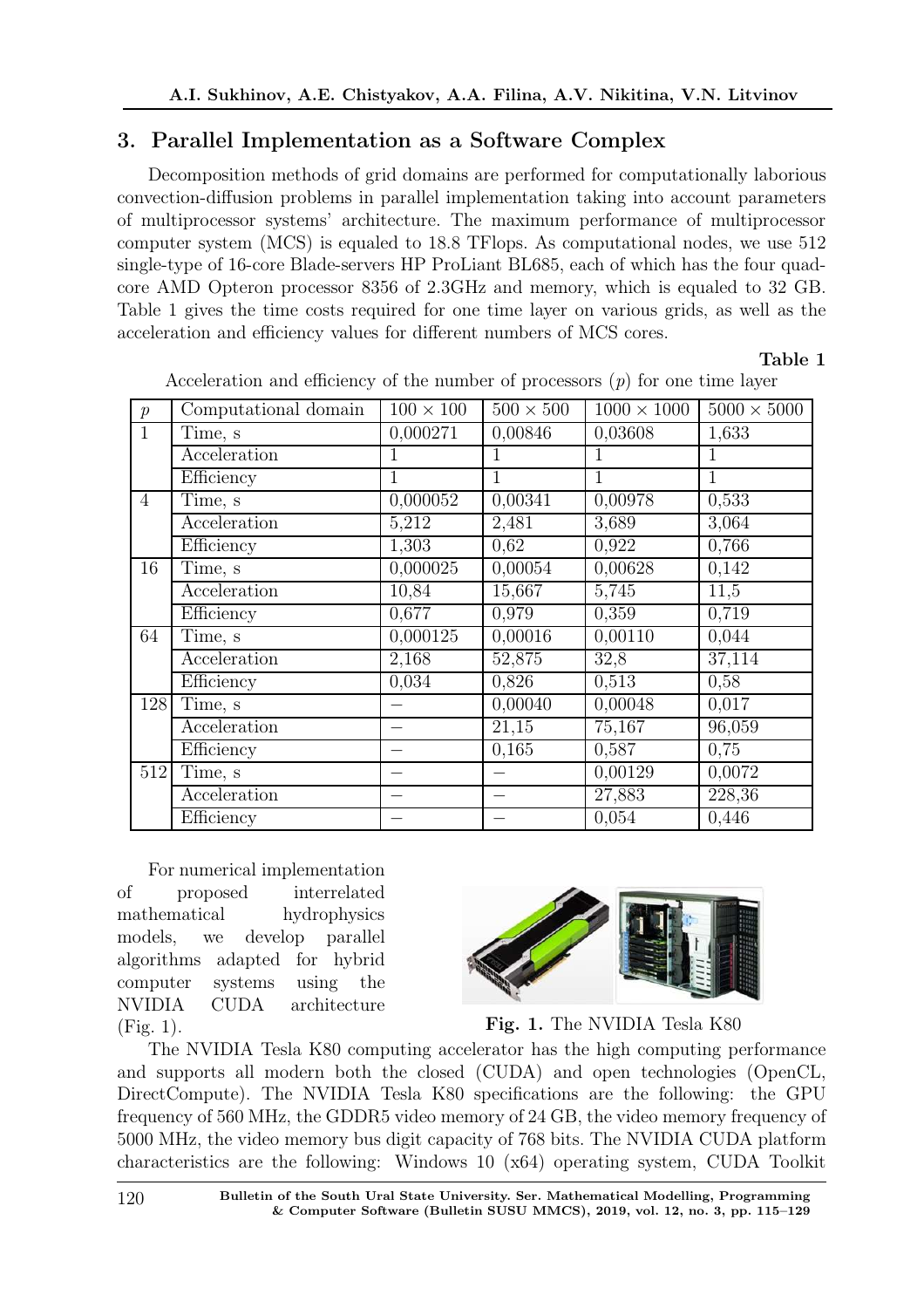# 3. Parallel Implementation as a Software Complex

Decomposition methods of grid domains are performed for computationally laborious convection-diffusion problems in parallel implementation taking into account parameters of multiprocessor systems' architecture. The maximum performance of multiprocessor computer system (MCS) is equaled to 18.8 TFlops. As computational nodes, we use 512 single-type of 16-core Blade-servers HP ProLiant BL685, each of which has the four quadcore AMD Opteron processor 8356 of 2.3GHz and memory, which is equaled to 32 GB. Table 1 gives the time costs required for one time layer on various grids, as well as the acceleration and efficiency values for different numbers of MCS cores.

Table 1

| $\boldsymbol{p}$ | Computational domain | $100\times100$ | $500 \times 500$   | $1000 \times 1000$ | $5000\times5000$ |
|------------------|----------------------|----------------|--------------------|--------------------|------------------|
| $\mathbf{1}$     | Time, s              | 0,000271       | 0,00846            | 0,03608            | 1,633            |
|                  | Acceleration         | 1              | 1                  | 1                  | 1                |
|                  | Efficiency           | 1              | 1                  | 1                  | $\mathbf{1}$     |
| $\overline{4}$   | Time, s              | 0,000052       | 0,00341            | 0,00978            | 0,533            |
|                  | Acceleration         | 5,212          | 2,481              | 3,689              | 3,064            |
|                  | Efficiency           | 1,303          | 0,62               | 0,922              | 0,766            |
| 16               | Time, s              | 0,000025       | 0,00054            | 0,00628            | 0,142            |
|                  | Acceleration         | 10,84          | 15,667             | 5,745              | 11,5             |
|                  | Efficiency           | 0,677          | 0,979              | 0,359              | 0,719            |
| 64               | Time, s              | 0,000125       | 0,00016            | 0,00110            | 0,044            |
|                  | Acceleration         | 2,168          | 52,875             | 32,8               | 37,114           |
|                  | Efficiency           | 0,034          | 0,826              | 0,513              | 0,58             |
| 128              | Time, s              |                | 0,00040            | 0,00048            | 0,017            |
|                  | Acceleration         |                | $\overline{21,15}$ | 75,167             | 96,059           |
|                  | Efficiency           |                | 0,165              | 0,587              | 0,75             |
| 512              | Time, s              |                |                    | 0,00129            | 0,0072           |
|                  | Acceleration         |                |                    | 27,883             | 228,36           |
|                  | Efficiency           |                |                    | 0,054              | 0,446            |

Acceleration and efficiency of the number of processors  $(p)$  for one time layer

For numerical implementation of proposed interrelated mathematical hydrophysics models, we develop parallel algorithms adapted for hybrid computer systems using the NVIDIA CUDA architecture (Fig. 1).



Fig. 1. The NVIDIA Tesla K80

The NVIDIA Tesla K80 computing accelerator has the high computing performance and supports all modern both the closed (CUDA) and open technologies (OpenCL, DirectCompute). The NVIDIA Tesla K80 specifications are the following: the GPU frequency of 560 MHz, the GDDR5 video memory of 24 GB, the video memory frequency of 5000 MHz, the video memory bus digit capacity of 768 bits. The NVIDIA CUDA platform characteristics are the following: Windows 10 (x64) operating system, CUDA Toolkit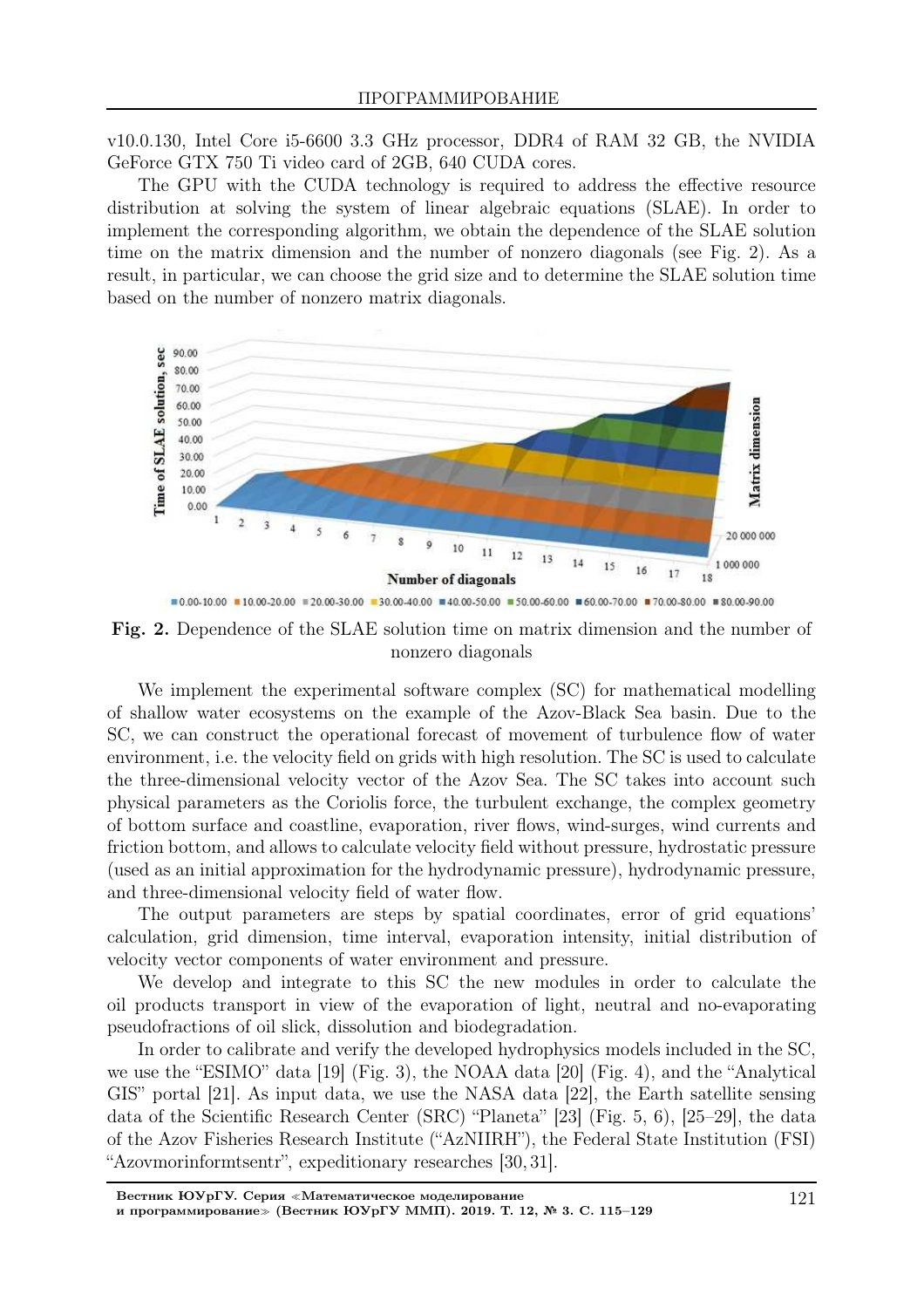v10.0.130, Intel Core i5-6600 3.3 GHz processor, DDR4 of RAM 32 GB, the NVIDIA GeForce GTX 750 Ti video card of 2GB, 640 CUDA cores.

The GPU with the CUDA technology is required to address the effective resource distribution at solving the system of linear algebraic equations (SLAE). In order to implement the corresponding algorithm, we obtain the dependence of the SLAE solution time on the matrix dimension and the number of nonzero diagonals (see Fig. 2). As a result, in particular, we can choose the grid size and to determine the SLAE solution time based on the number of nonzero matrix diagonals.



Fig. 2. Dependence of the SLAE solution time on matrix dimension and the number of nonzero diagonals

We implement the experimental software complex (SC) for mathematical modelling of shallow water ecosystems on the example of the Azov-Black Sea basin. Due to the SC, we can construct the operational forecast of movement of turbulence flow of water environment, i.e. the velocity field on grids with high resolution. The SC is used to calculate the three-dimensional velocity vector of the Azov Sea. The SC takes into account such physical parameters as the Coriolis force, the turbulent exchange, the complex geometry of bottom surface and coastline, evaporation, river flows, wind-surges, wind currents and friction bottom, and allows to calculate velocity field without pressure, hydrostatic pressure (used as an initial approximation for the hydrodynamic pressure), hydrodynamic pressure, and three-dimensional velocity field of water flow.

The output parameters are steps by spatial coordinates, error of grid equations' calculation, grid dimension, time interval, evaporation intensity, initial distribution of velocity vector components of water environment and pressure.

We develop and integrate to this SC the new modules in order to calculate the oil products transport in view of the evaporation of light, neutral and no-evaporating pseudofractions of oil slick, dissolution and biodegradation.

In order to calibrate and verify the developed hydrophysics models included in the SC, we use the "ESIMO" data [19] (Fig. 3), the NOAA data [20] (Fig. 4), and the "Analytical GIS" portal [21]. As input data, we use the NASA data [22], the Earth satellite sensing data of the Scientific Research Center (SRC) "Planeta" [23] (Fig. 5, 6), [25–29], the data of the Azov Fisheries Research Institute ("AzNIIRH"), the Federal State Institution (FSI) "Azovmorinformtsentr", expeditionary researches [30, 31].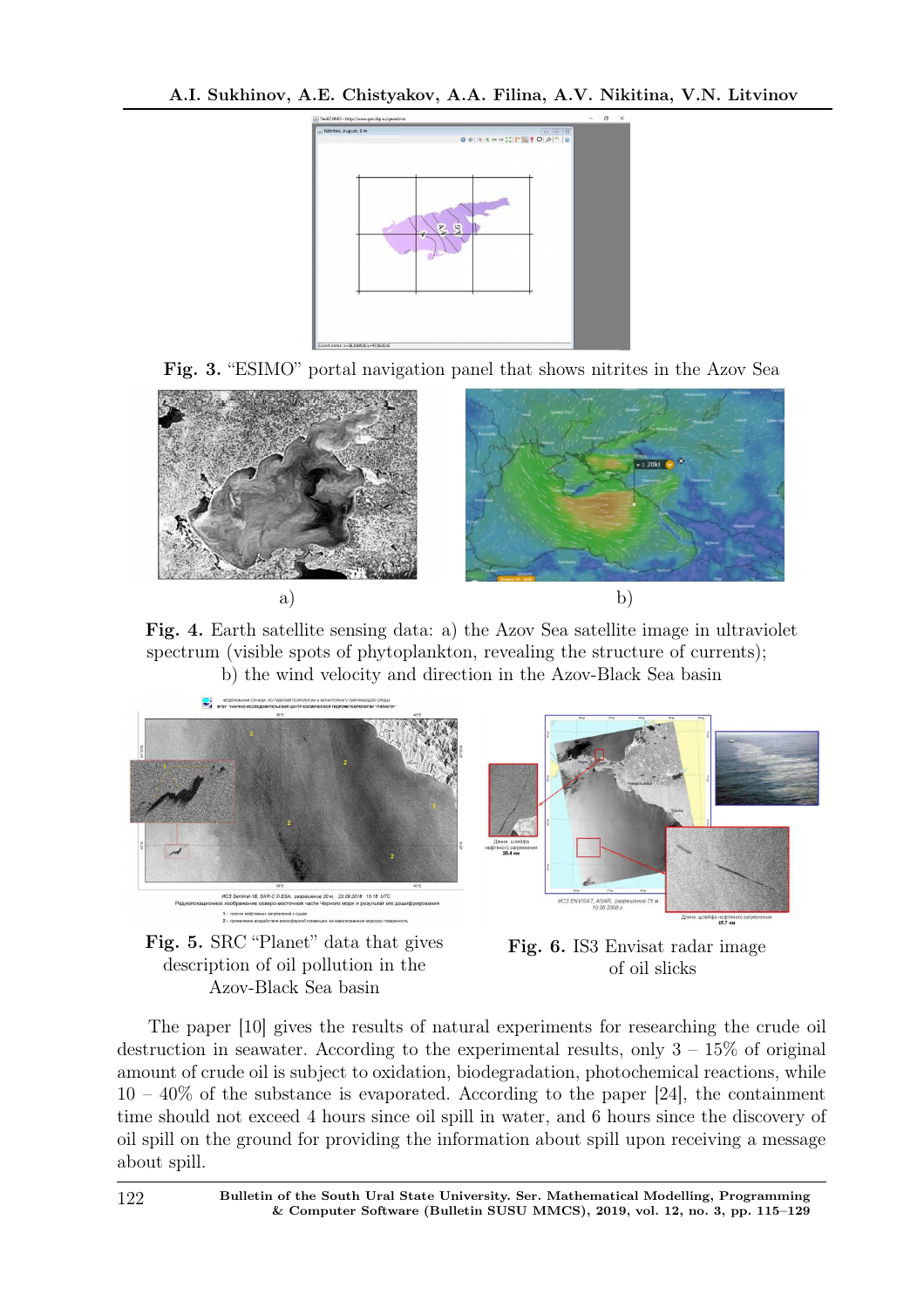





Fig. 4. Earth satellite sensing data: a) the Azov Sea satellite image in ultraviolet spectrum (visible spots of phytoplankton, revealing the structure of currents); b) the wind velocity and direction in the Azov-Black Sea basin







The paper [10] gives the results of natural experiments for researching the crude oil destruction in seawater. According to the experimental results, only  $3 - 15\%$  of original amount of crude oil is subject to oxidation, biodegradation, photochemical reactions, while  $10 - 40\%$  of the substance is evaporated. According to the paper [24], the containment time should not exceed 4 hours since oil spill in water, and 6 hours since the discovery of oil spill on the ground for providing the information about spill upon receiving a message about spill.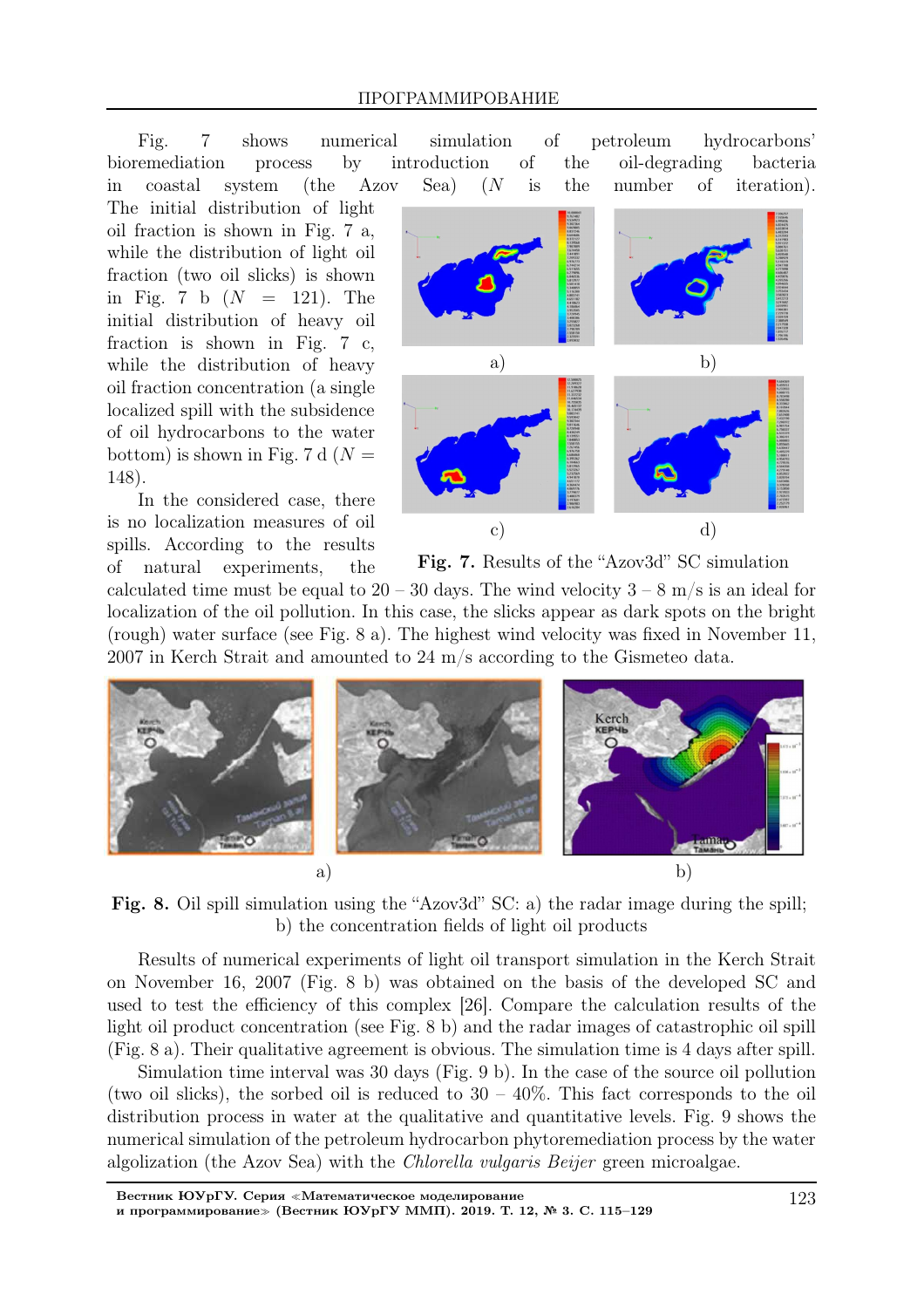Fig. 7 shows numerical simulation of petroleum hydrocarbons' bioremediation process by introduction of the oil-degrading bacteria in coastal system (the Azov Sea) (N is the number of iteration).

The initial distribution of light oil fraction is shown in Fig. 7 a, while the distribution of light oil fraction (two oil slicks) is shown in Fig. 7 b  $(N = 121)$ . The initial distribution of heavy oil fraction is shown in Fig. 7 c, while the distribution of heavy oil fraction concentration (a single localized spill with the subsidence of oil hydrocarbons to the water bottom) is shown in Fig. 7 d  $(N =$ 148).

In the considered case, there is no localization measures of oil spills. According to the results of natural experiments, the



Fig. 7. Results of the "Azov3d" SC simulation

calculated time must be equal to  $20 - 30$  days. The wind velocity  $3 - 8$  m/s is an ideal for localization of the oil pollution. In this case, the slicks appear as dark spots on the bright (rough) water surface (see Fig. 8 a). The highest wind velocity was fixed in November 11, 2007 in Kerch Strait and amounted to 24 m/s according to the Gismeteo data.



Fig. 8. Oil spill simulation using the "Azov3d" SC: a) the radar image during the spill; b) the concentration fields of light oil products

Results of numerical experiments of light oil transport simulation in the Kerch Strait on November 16, 2007 (Fig. 8 b) was obtained on the basis of the developed SC and used to test the efficiency of this complex [26]. Compare the calculation results of the light oil product concentration (see Fig. 8 b) and the radar images of catastrophic oil spill (Fig. 8 a). Their qualitative agreement is obvious. The simulation time is 4 days after spill.

Simulation time interval was 30 days (Fig. 9 b). In the case of the source oil pollution (two oil slicks), the sorbed oil is reduced to  $30 - 40\%$ . This fact corresponds to the oil distribution process in water at the qualitative and quantitative levels. Fig. 9 shows the numerical simulation of the petroleum hydrocarbon phytoremediation process by the water algolization (the Azov Sea) with the Chlorella vulgaris Beijer green microalgae.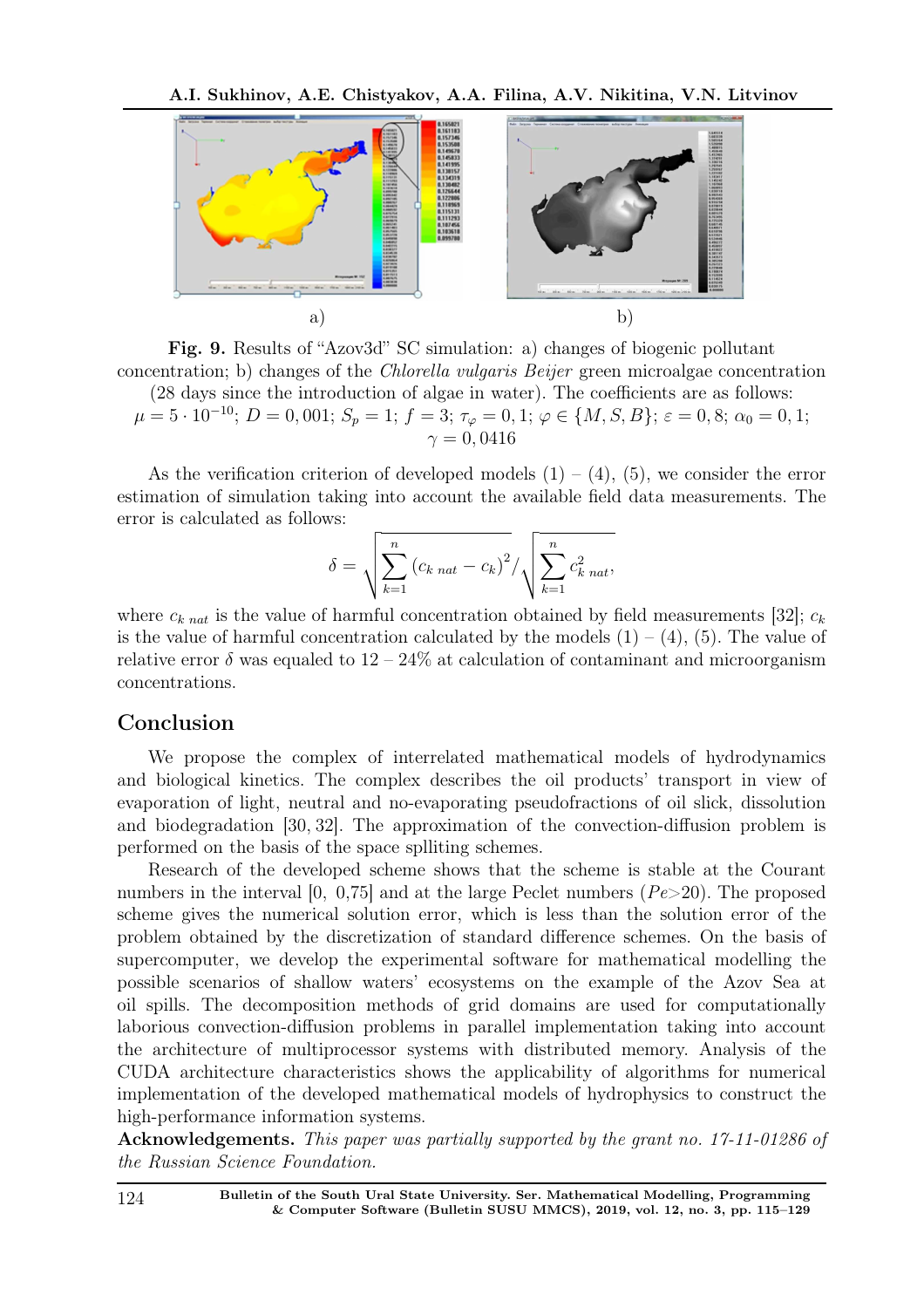

Fig. 9. Results of "Azov3d" SC simulation: a) changes of biogenic pollutant concentration; b) changes of the Chlorella vulgaris Beijer green microalgae concentration

(28 days since the introduction of algae in water). The coefficients are as follows:  $\mu=5\cdot 10^{-10};\,D=0,001;\,S_{p}=1;\,f=3;\,\tau_{\varphi}=0,1;\,\varphi\in\{M,S,B\};\,\varepsilon=0,8;\,\alpha_{0}=0,1;$  $\gamma = 0.0416$ 

As the verification criterion of developed models  $(1) - (4)$ ,  $(5)$ , we consider the error estimation of simulation taking into account the available field data measurements. The error is calculated as follows:

$$
\delta = \sqrt{\sum_{k=1}^{n} (c_{k \text{ nat}} - c_{k})^{2}} / \sqrt{\sum_{k=1}^{n} c_{k \text{ nat}}^{2}},
$$

where  $c_{k \text{nat}}$  is the value of harmful concentration obtained by field measurements [32];  $c_k$ is the value of harmful concentration calculated by the models  $(1) - (4)$ ,  $(5)$ . The value of relative error  $\delta$  was equaled to  $12-24\%$  at calculation of contaminant and microorganism concentrations.

# Conclusion

We propose the complex of interrelated mathematical models of hydrodynamics and biological kinetics. The complex describes the oil products' transport in view of evaporation of light, neutral and no-evaporating pseudofractions of oil slick, dissolution and biodegradation [30, 32]. The approximation of the convection-diffusion problem is performed on the basis of the space splliting schemes.

Research of the developed scheme shows that the scheme is stable at the Courant numbers in the interval  $[0, 0.75]$  and at the large Peclet numbers  $(Pe > 20)$ . The proposed scheme gives the numerical solution error, which is less than the solution error of the problem obtained by the discretization of standard difference schemes. On the basis of supercomputer, we develop the experimental software for mathematical modelling the possible scenarios of shallow waters' ecosystems on the example of the Azov Sea at oil spills. The decomposition methods of grid domains are used for computationally laborious convection-diffusion problems in parallel implementation taking into account the architecture of multiprocessor systems with distributed memory. Analysis of the CUDA architecture characteristics shows the applicability of algorithms for numerical implementation of the developed mathematical models of hydrophysics to construct the high-performance information systems.

Acknowledgements. This paper was partially supported by the grant no. 17-11-01286 of the Russian Science Foundation.

124 Bulletin of the South Ural State University. Ser. Mathematical Modelling, Programming & Computer Software (Bulletin SUSU MMCS), 2019, vol. 12, no. 3, pp. 115–129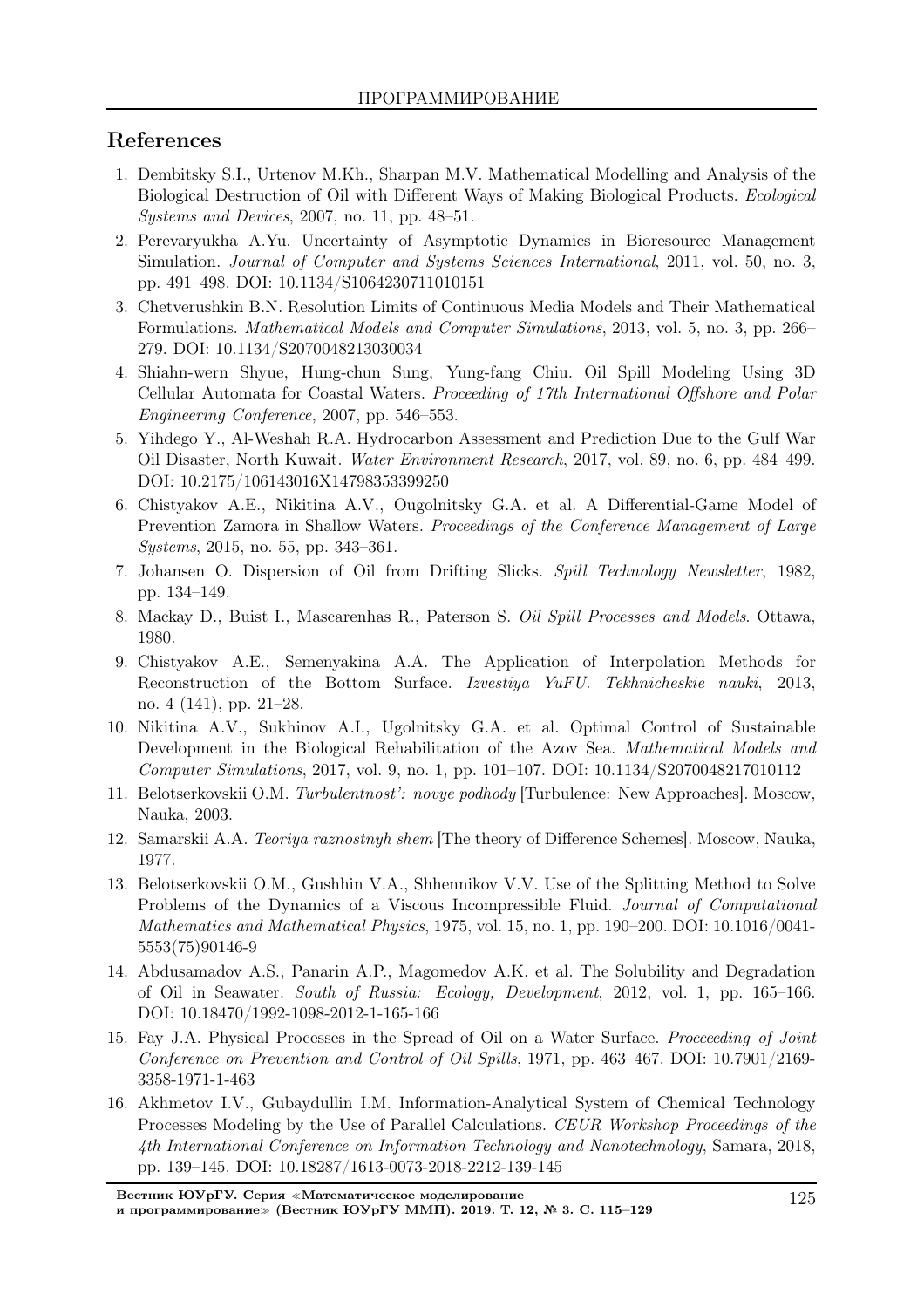# References

- 1. Dembitsky S.I., Urtenov M.Kh., Sharpan M.V. Mathematical Modelling and Analysis of the Biological Destruction of Oil with Different Ways of Making Biological Products. Ecological Systems and Devices, 2007, no. 11, pp. 48–51.
- 2. Perevaryukha A.Yu. Uncertainty of Asymptotic Dynamics in Bioresource Management Simulation. Journal of Computer and Systems Sciences International, 2011, vol. 50, no. 3, pp. 491–498. DOI: 10.1134/S1064230711010151
- 3. Chetverushkin B.N. Resolution Limits of Continuous Media Models and Their Mathematical Formulations. Mathematical Models and Computer Simulations, 2013, vol. 5, no. 3, pp. 266– 279. DOI: 10.1134/S2070048213030034
- 4. Shiahn-wern Shyue, Hung-chun Sung, Yung-fang Chiu. Oil Spill Modeling Using 3D Cellular Automata for Coastal Waters. Proceeding of 17th International Offshore and Polar Engineering Conference, 2007, pp. 546–553.
- 5. Yihdego Y., Al-Weshah R.A. Hydrocarbon Assessment and Prediction Due to the Gulf War Oil Disaster, North Kuwait. Water Environment Research, 2017, vol. 89, no. 6, pp. 484–499. DOI: 10.2175/106143016X14798353399250
- 6. Chistyakov A.E., Nikitina A.V., Ougolnitsky G.A. et al. A Differential-Game Model of Prevention Zamora in Shallow Waters. Proceedings of the Conference Management of Large Systems, 2015, no. 55, pp. 343–361.
- 7. Johansen O. Dispersion of Oil from Drifting Slicks. Spill Technology Newsletter, 1982, pp. 134–149.
- 8. Mackay D., Buist I., Mascarenhas R., Paterson S. Oil Spill Processes and Models. Ottawa, 1980.
- 9. Chistyakov A.E., Semenyakina A.A. The Application of Interpolation Methods for Reconstruction of the Bottom Surface. Izvestiya YuFU. Tekhnicheskie nauki, 2013, no. 4 (141), pp. 21–28.
- 10. Nikitina A.V., Sukhinov A.I., Ugolnitsky G.A. et al. Optimal Control of Sustainable Development in the Biological Rehabilitation of the Azov Sea. Mathematical Models and Computer Simulations, 2017, vol. 9, no. 1, pp. 101–107. DOI: 10.1134/S2070048217010112
- 11. Belotserkovskii O.M. Turbulentnost': novye podhody [Turbulence: New Approaches]. Moscow, Nauka, 2003.
- 12. Samarskii A.A. Teoriya raznostnyh shem [The theory of Difference Schemes]. Moscow, Nauka, 1977.
- 13. Belotserkovskii O.M., Gushhin V.A., Shhennikov V.V. Use of the Splitting Method to Solve Problems of the Dynamics of a Viscous Incompressible Fluid. Journal of Computational Mathematics and Mathematical Physics, 1975, vol. 15, no. 1, pp. 190–200. DOI: 10.1016/0041- 5553(75)90146-9
- 14. Abdusamadov A.S., Panarin A.P., Magomedov A.K. et al. The Solubility and Degradation of Oil in Seawater. South of Russia: Ecology, Development, 2012, vol. 1, pp. 165–166. DOI: 10.18470/1992-1098-2012-1-165-166
- 15. Fay J.A. Physical Processes in the Spread of Oil on a Water Surface. Procceeding of Joint Conference on Prevention and Control of Oil Spills, 1971, pp. 463–467. DOI: 10.7901/2169- 3358-1971-1-463
- 16. Akhmetov I.V., Gubaydullin I.M. Information-Analytical System of Chemical Technology Processes Modeling by the Use of Parallel Calculations. CEUR Workshop Proceedings of the 4th International Conference on Information Technology and Nanotechnology, Samara, 2018, pp. 139–145. DOI: 10.18287/1613-0073-2018-2212-139-145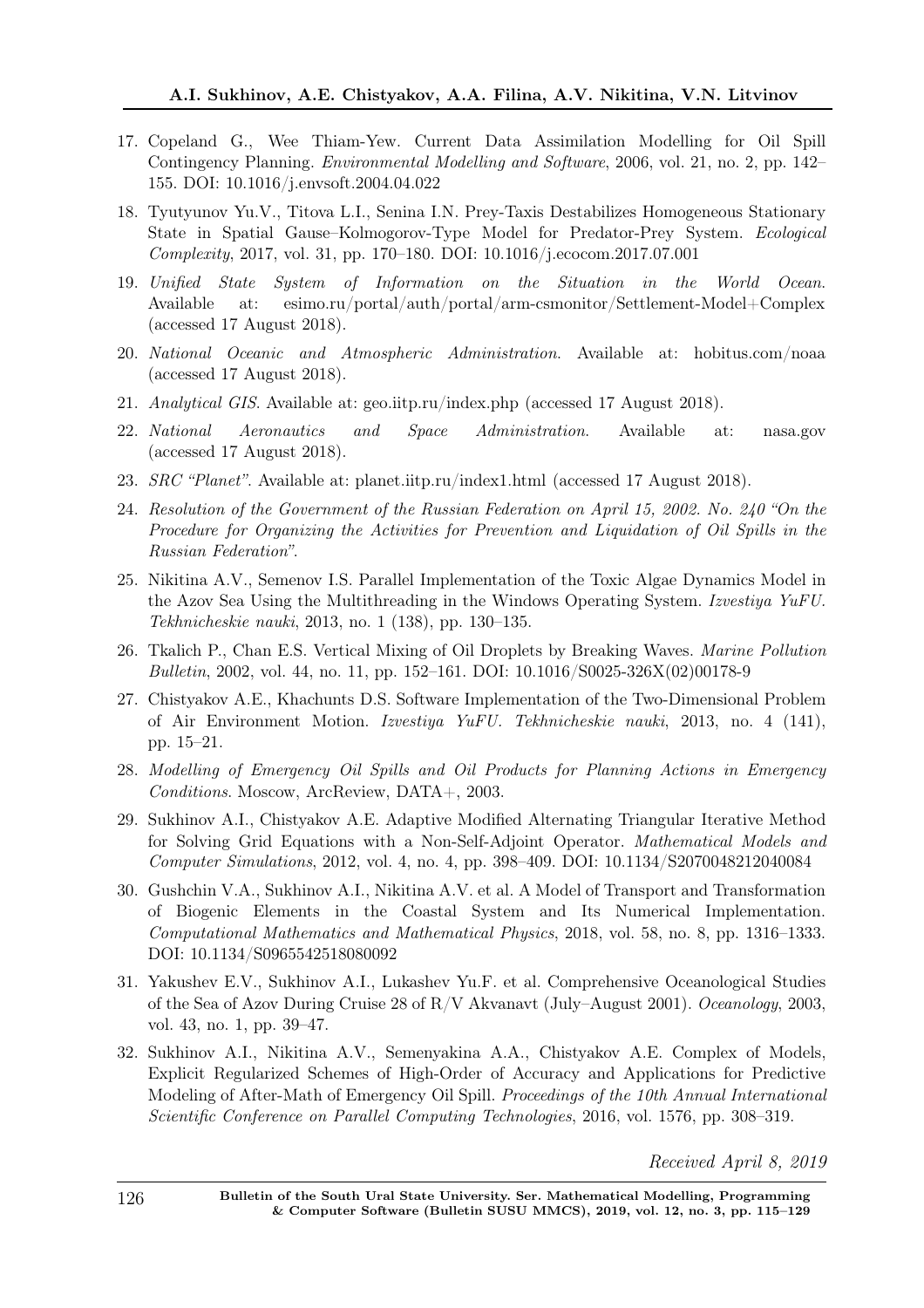- 17. Copeland G., Wee Thiam-Yew. Current Data Assimilation Modelling for Oil Spill Contingency Planning. Environmental Modelling and Software, 2006, vol. 21, no. 2, pp. 142– 155. DOI: 10.1016/j.envsoft.2004.04.022
- 18. Tyutyunov Yu.V., Titova L.I., Senina I.N. Prey-Taxis Destabilizes Homogeneous Stationary State in Spatial Gause–Kolmogorov-Type Model for Predator-Prey System. Ecological Complexity, 2017, vol. 31, pp. 170–180. DOI: 10.1016/j.ecocom.2017.07.001
- 19. Unified State System of Information on the Situation in the World Ocean. Available at: esimo.ru/portal/auth/portal/arm-csmonitor/Settlement-Model+Complex (accessed 17 August 2018).
- 20. National Oceanic and Atmospheric Administration. Available at: hobitus.com/noaa (accessed 17 August 2018).
- 21. Analytical GIS. Available at: geo.iitp.ru/index.php (accessed 17 August 2018).
- 22. National Aeronautics and Space Administration. Available at: nasa.gov (accessed 17 August 2018).
- 23. SRC "Planet". Available at: planet.iitp.ru/index1.html (accessed 17 August 2018).
- 24. Resolution of the Government of the Russian Federation on April 15, 2002. No. 240 "On the Procedure for Organizing the Activities for Prevention and Liquidation of Oil Spills in the Russian Federation".
- 25. Nikitina A.V., Semenov I.S. Parallel Implementation of the Toxic Algae Dynamics Model in the Azov Sea Using the Multithreading in the Windows Operating System. Izvestiya YuFU. Tekhnicheskie nauki, 2013, no. 1 (138), pp. 130–135.
- 26. Tkalich P., Chan E.S. Vertical Mixing of Oil Droplets by Breaking Waves. Marine Pollution Bulletin, 2002, vol. 44, no. 11, pp. 152–161. DOI: 10.1016/S0025-326X(02)00178-9
- 27. Chistyakov A.E., Khachunts D.S. Software Implementation of the Two-Dimensional Problem of Air Environment Motion. Izvestiya YuFU. Tekhnicheskie nauki, 2013, no. 4 (141), pp. 15–21.
- 28. Modelling of Emergency Oil Spills and Oil Products for Planning Actions in Emergency Conditions. Moscow, ArcReview, DATA+, 2003.
- 29. Sukhinov A.I., Chistyakov A.E. Adaptive Modified Alternating Triangular Iterative Method for Solving Grid Equations with a Non-Self-Adjoint Operator. Mathematical Models and Computer Simulations, 2012, vol. 4, no. 4, pp. 398–409. DOI: 10.1134/S2070048212040084
- 30. Gushchin V.A., Sukhinov A.I., Nikitina A.V. et al. A Model of Transport and Transformation of Biogenic Elements in the Coastal System and Its Numerical Implementation. Computational Mathematics and Mathematical Physics, 2018, vol. 58, no. 8, pp. 1316–1333. DOI: 10.1134/S0965542518080092
- 31. Yakushev E.V., Sukhinov A.I., Lukashev Yu.F. et al. Comprehensive Oceanological Studies of the Sea of Azov During Cruise 28 of R/V Akvanavt (July–August 2001). Oceanology, 2003, vol. 43, no. 1, pp. 39–47.
- 32. Sukhinov A.I., Nikitina A.V., Semenyakina A.A., Chistyakov A.E. Complex of Models, Explicit Regularized Schemes of High-Order of Accuracy and Applications for Predictive Modeling of After-Math of Emergency Oil Spill. Proceedings of the 10th Annual International Scientific Conference on Parallel Computing Technologies, 2016, vol. 1576, pp. 308–319.

Received April 8, 2019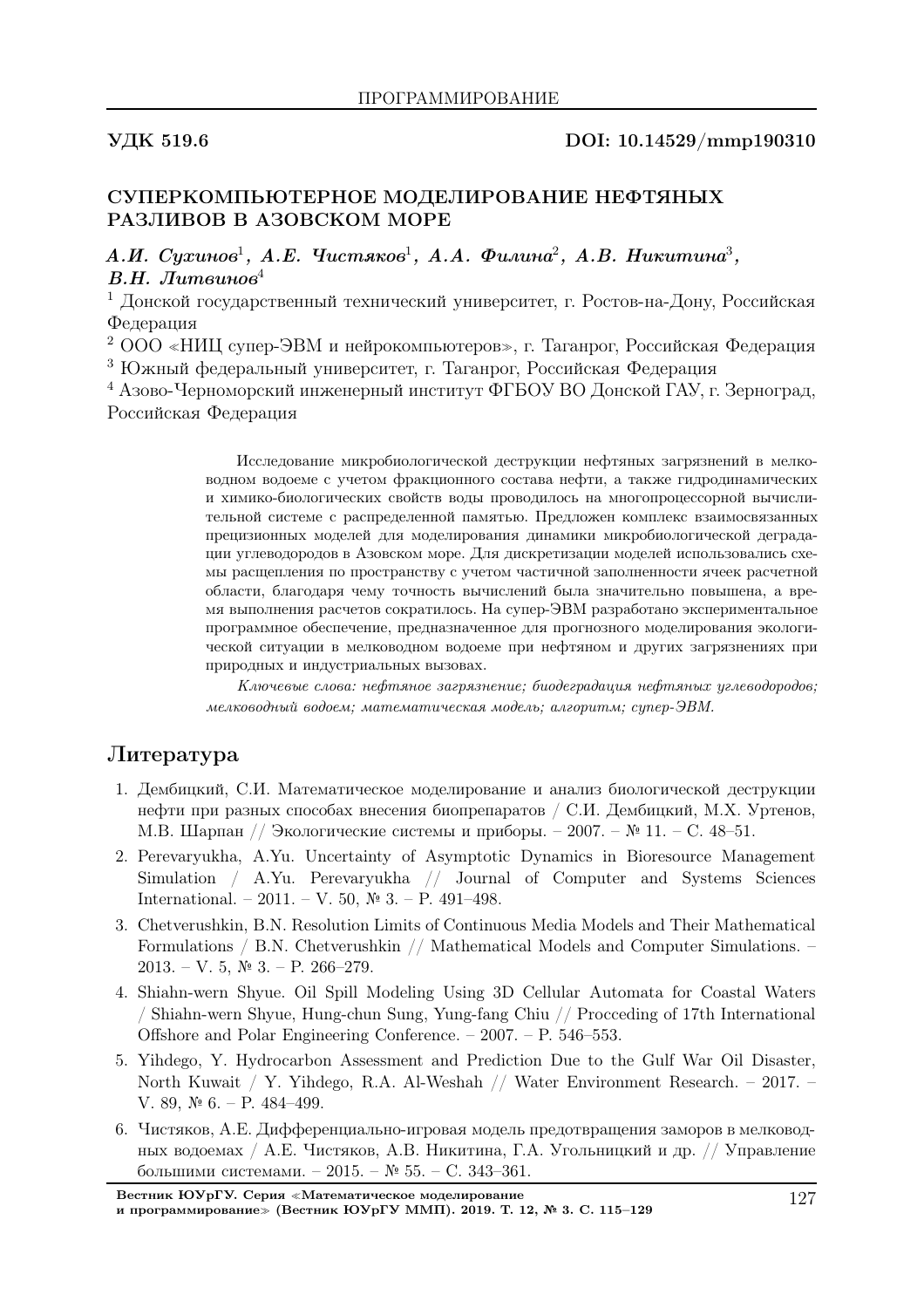## УДК 519.6 DOI: 10.14529/mmp190310

## СУПЕРКОМПЬЮТЕРНОЕ МОДЕЛИРОВАНИЕ НЕФТЯНЫХ РАЗЛИВОВ В АЗОВСКОМ МОРЕ

А.И. Сухинов<sup>1</sup>, А.Е. Чистяков<sup>1</sup>, А.А. Филина<sup>2</sup>, А.В. Никитина<sup>3</sup>,  $B.H.$  Литвинов<sup>4</sup>

<sup>1</sup> Донской государственный технический университет, г. Ростов-на-Дону, Российская Федерация

<sup>2</sup> ООО «НИЦ супер-ЭВМ и нейрокомпьютеров», г. Таганрог, Российская Федерация <sup>3</sup> Южный федеральный университет, г. Таганрог, Российская Федерация

<sup>4</sup> Азово-Черноморский инженерный институт ФГБОУ ВО Донской ГАУ, г. Зерноград, Российская Федерация

> Исследование микробиологической деструкции нефтяных загрязнений в мелководном водоеме с учетом фракционного состава нефти, а также гидродинамических и химико-биологических свойств воды проводилось на многопроцессорной вычислительной системе с распределенной памятью. Предложен комплекс взаимосвязанных прецизионных моделей для моделирования динамики микробиологической деградации углеводородов в Азовском море. Для дискретизации моделей использовались схемы расщепления по пространству с учетом частичной заполненности ячеек расчетной области, благодаря чему точность вычислений была значительно повышена, а время выполнения расчетов сократилось. На супер-ЭВМ разработано экспериментальное программное обеспечение, предназначенное для прогнозного моделирования экологической ситуации в мелководном водоеме при нефтяном и других загрязнениях при природных и индустриальных вызовах.

> Ключевые слова: нефтяное загрязнение; биодеградация нефтяных углеводородов; мелководный водоем; математическая модель; алгоритм; супер-ЭВМ.

# Литература

- 1. Дембицкий, С.И. Математическое моделирование и анализ биологической деструкции нефти при разных способах внесения биопрепаратов / С.И. Дембицкий, М.Х. Уртенов, М.В. Шарпан // Экологические системы и приборы. – 2007. – № 11. – С. 48–51.
- 2. Perevaryukha, A.Yu. Uncertainty of Asymptotic Dynamics in Bioresource Management Simulation / A.Yu. Perevaryukha // Journal of Computer and Systems Sciences International. – 2011. – V. 50,  $\mathbb{N}^2$  3. – P. 491–498.
- 3. Chetverushkin, B.N. Resolution Limits of Continuous Media Models and Their Mathematical Formulations / B.N. Chetverushkin // Mathematical Models and Computer Simulations. –  $2013. - V. 5, N<sup>o</sup> 3. - P. 266-279.$
- 4. Shiahn-wern Shyue. Oil Spill Modeling Using 3D Cellular Automata for Coastal Waters / Shiahn-wern Shyue, Hung-chun Sung, Yung-fang Chiu // Procceding of 17th International Offshore and Polar Engineering Conference. – 2007. – P. 546–553.
- 5. Yihdego, Y. Hydrocarbon Assessment and Prediction Due to the Gulf War Oil Disaster, North Kuwait / Y. Yihdego, R.A. Al-Weshah // Water Environment Research. – 2017. – V. 89, № 6. – P. 484–499.
- 6. Чистяков, А.Е. Дифференциально-игровая модель предотвращения заморов в мелководных водоемах / А.Е. Чистяков, А.В. Никитина, Г.А. Угольницкий и др. // Управление большими системами. – 2015. – № 55. – С. 343–361.

Вестник ЮУрГУ. Серия <sup>≪</sup>Математическое моделирование и программирование<sup>≫</sup> (Вестник ЮУрГУ ММП). 2019. Т. 12, № 3. С. 115–129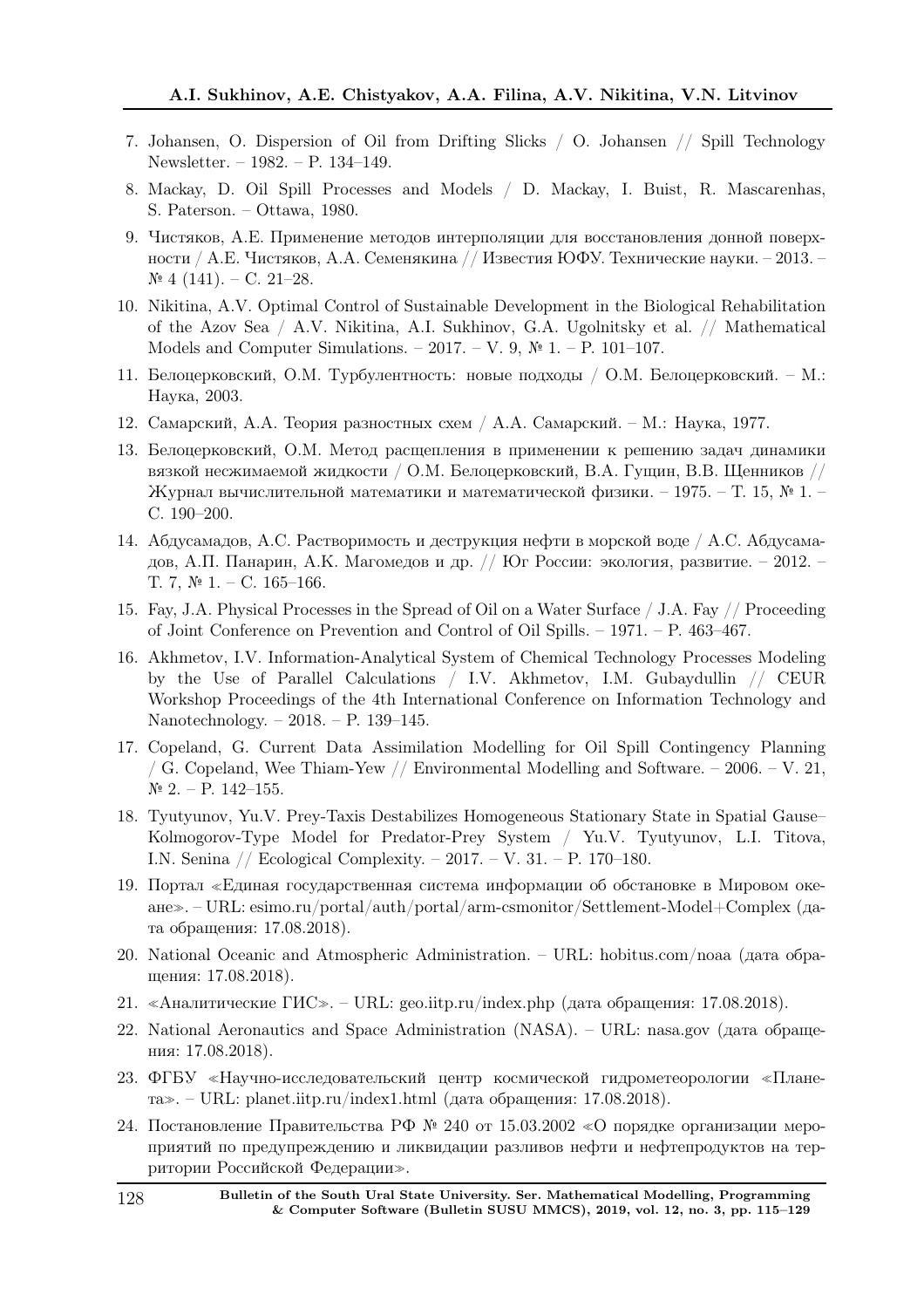- 7. Johansen, O. Dispersion of Oil from Drifting Slicks / O. Johansen // Spill Technology Newsletter. – 1982. – P. 134–149.
- 8. Mackay, D. Oil Spill Processes and Models / D. Mackay, I. Buist, R. Mascarenhas, S. Paterson. – Ottawa, 1980.
- 9. Чистяков, А.Е. Применение методов интерполяции для восстановления донной поверхности / А.Е. Чистяков, А.А. Семенякина // Известия ЮФУ. Технические науки. – 2013. –  $\mathcal{N}$ <sup>o</sup> 4 (141). − C. 21–28.
- 10. Nikitina, A.V. Optimal Control of Sustainable Development in the Biological Rehabilitation of the Azov Sea / A.V. Nikitina, A.I. Sukhinov, G.A. Ugolnitsky et al. // Mathematical Models and Computer Simulations. – 2017. – V. 9, № 1. – P. 101–107.
- 11. Белоцерковский, О.М. Турбулентность: новые подходы / О.М. Белоцерковский. М.: Наука, 2003.
- 12. Самарский, А.А. Теория разностных схем / А.А. Самарский. М.: Наука, 1977.
- 13. Белоцерковский, О.М. Метод расщепления в применении к решению задач динамики вязкой несжимаемой жидкости / О.М. Белоцерковский, В.А. Гущин, В.В. Щенников // Журнал вычислительной математики и математической физики. – 1975. – Т. 15, № 1. – С. 190–200.
- 14. Абдусамадов, А.С. Растворимость и деструкция нефти в морской воде / А.С. Абдусамадов, А.П. Панарин, А.К. Магомедов и др. // Юг России: экология, развитие. – 2012. – Т. 7,  $\mathbb{N}^{\mathsf{p}}$  1. – С. 165–166.
- 15. Fay, J.A. Physical Processes in the Spread of Oil on a Water Surface / J.A. Fay // Proceeding of Joint Conference on Prevention and Control of Oil Spills. – 1971. – P. 463–467.
- 16. Akhmetov, I.V. Information-Analytical System of Chemical Technology Processes Modeling by the Use of Parallel Calculations / I.V. Akhmetov, I.M. Gubaydullin // CEUR Workshop Proceedings of the 4th International Conference on Information Technology and Nanotechnology. – 2018. – P. 139–145.
- 17. Copeland, G. Current Data Assimilation Modelling for Oil Spill Contingency Planning / G. Copeland, Wee Thiam-Yew // Environmental Modelling and Software.  $-2006$ .  $- V. 21$ ,  $N<sup>o</sup>$  2. − P. 142–155.
- 18. Tyutyunov, Yu.V. Prey-Taxis Destabilizes Homogeneous Stationary State in Spatial Gause– Kolmogorov-Type Model for Predator-Prey System / Yu.V. Tyutyunov, L.I. Titova, I.N. Senina // Ecological Complexity. – 2017. – V. 31. – P. 170–180.
- 19. Портал <sup>≪</sup>Единая государственная система информации об обстановке в Мировом океане≫. – URL: esimo.ru/portal/auth/portal/arm-csmonitor/Settlement-Model+Complex (дата обращения: 17.08.2018).
- 20. National Oceanic and Atmospheric Administration. URL: hobitus.com/noaa (дата обращения: 17.08.2018).
- 21. «Аналитические ГИС». URL: geo.iitp.ru/index.php (дата обращения: 17.08.2018).
- 22. National Aeronautics and Space Administration (NASA). URL: nasa.gov (дата обращения: 17.08.2018).
- 23. ФГБУ <sup>≪</sup>Научно-исследовательский центр космической гидрометеорологии <sup>≪</sup>Планета≫. – URL: planet.iitp.ru/index1.html (дата обращения: 17.08.2018).
- 24. Постановление Правительства РФ № 240 от 15.03.2002 <sup>≪</sup>О порядке организации мероприятий по предупреждению и ликвидации разливов нефти и нефтепродуктов на территории Российской Федерации≫.